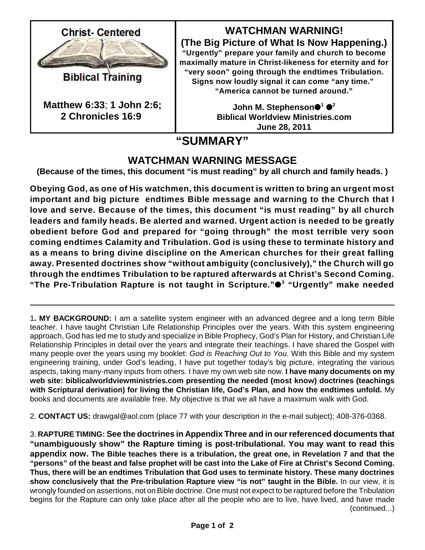

**Biblical Training** 

**Matthew 6:33**; **1 John 2:6; 2 Chronicles 16:9**

**WATCHMAN WARNING!**

**(The Big Picture of What Is Now Happening.) "Urgently" prepare your family and church to become maximally mature in Christ-likeness for eternity and for "very soon" going through the endtimes Tribulation. Signs now loudly signal it can come "any time." "America cannot be turned around."**

> John M. Stephenson●<sup>1</sup> ●<sup>2</sup> **Biblical Worldview Ministries.com June 28, 2011**

## **"SUMMARY"**

## **WATCHMAN WARNING MESSAGE**

**(Because of the times, this document "is must reading" by all church and family heads. )**

**Obeying God, as one of His watchmen, this document is written to bring an urgent most important and big picture endtimes Bible message and warning to the Church that I love and serve. Because of the times, this document "is must reading" by all church leaders and family heads. Be alerted and warned. Urgent action is needed to be greatly obedient before God and prepared for "going through" the most terrible very soon coming endtimes Calamity and Tribulation. God is using these to terminate history and as a means to bring divine discipline on the American churches for their great falling away. Presented doctrines show "without ambiguity (conclusively)," the Church will go through the endtimes Tribulation to be raptured afterwards at Christ's Second Coming. "The Pre-Tribulation Rapture is not taught in Scripture." "Urgently" make needed 3**

1**. MY BACKGROUND:** I am a satellite system engineer with an advanced degree and a long term Bible teacher. I have taught Christian Life Relationship Principles over the years. With this system engineering approach, God has led me to study and specialize in Bible Prophecy, God's Plan for History, and Christian Life Relationship Principles in detail over the years and integrate their teachings. I have shared the Gospel with many people over the years using my booklet: *God is Reaching Out to You*. With this Bible and my system engineering training, under God's leading, I have put together today's big picture, integrating the various aspects, taking many-many inputs from others. I have my own web site now. **I have many documents on my web site: biblicalworldviewministries.com presenting the needed (most know) doctrines (teachings with Scriptural derivation) for living the Christian life, God's Plan, and how the endtimes unfold.** My books and documents are available free. My objective is that we all have a maximum walk with God.

2. **CONTACT US:** drawgal@aol.com (place 77 with your description in the e-mail subject); 408-376-0368.

3. **RAPTURE TIMING: See the doctrines in Appendix Three and in our referenced documents that "unambiguously show" the Rapture timing is post-tribulational. You may want to read this appendix now. The Bible teaches there is a tribulation, the great one, in Revelation 7 and that the "persons" of the beast and false prophet will be cast into the Lake of Fire at Christ's Second Coming. Thus, there will be an endtimes Tribulation that God uses to terminate history. These many doctrines show conclusively that the Pre-tribulation Rapture view "is not" taught in the Bible.** In our view, it is wrongly founded on assertions, not on Bible doctrine. One must not expect to be raptured before the Tribulation begins for the Rapture can only take place after all the people who are to live, have lived, and have made (continued...)